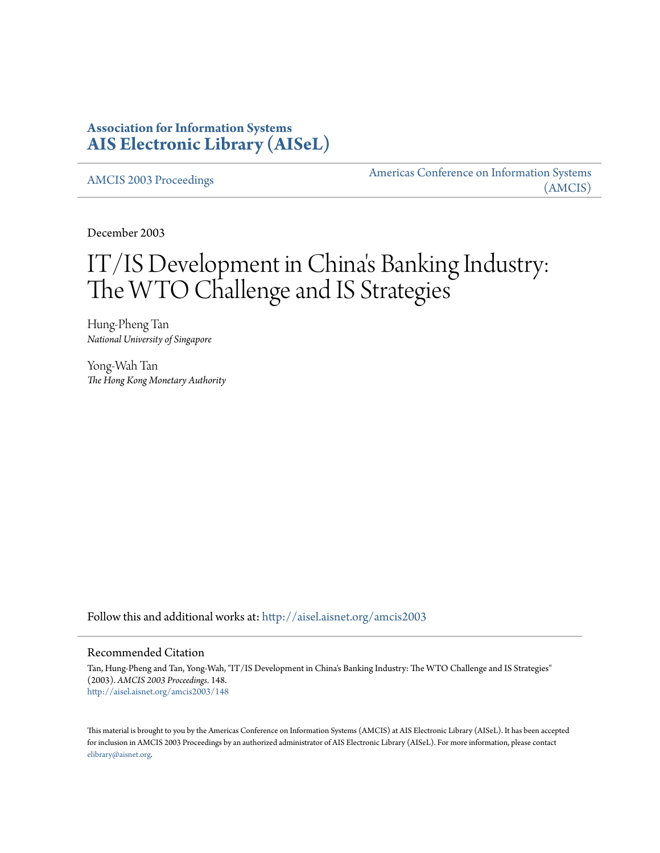## **Association for Information Systems [AIS Electronic Library \(AISeL\)](http://aisel.aisnet.org?utm_source=aisel.aisnet.org%2Famcis2003%2F148&utm_medium=PDF&utm_campaign=PDFCoverPages)**

[AMCIS 2003 Proceedings](http://aisel.aisnet.org/amcis2003?utm_source=aisel.aisnet.org%2Famcis2003%2F148&utm_medium=PDF&utm_campaign=PDFCoverPages)

[Americas Conference on Information Systems](http://aisel.aisnet.org/amcis?utm_source=aisel.aisnet.org%2Famcis2003%2F148&utm_medium=PDF&utm_campaign=PDFCoverPages) [\(AMCIS\)](http://aisel.aisnet.org/amcis?utm_source=aisel.aisnet.org%2Famcis2003%2F148&utm_medium=PDF&utm_campaign=PDFCoverPages)

December 2003

# IT/IS Development in China 's Banking Industry: The WTO Challenge and IS Strategies

Hung-Pheng Tan *National University of Singapore*

Yong-Wah Tan *The Hong Kong Monetary Authority*

Follow this and additional works at: [http://aisel.aisnet.org/amcis2003](http://aisel.aisnet.org/amcis2003?utm_source=aisel.aisnet.org%2Famcis2003%2F148&utm_medium=PDF&utm_campaign=PDFCoverPages)

#### Recommended Citation

Tan, Hung-Pheng and Tan, Yong-Wah, "IT/IS Development in China's Banking Industry: The WTO Challenge and IS Strategies" (2003). *AMCIS 2003 Proceedings*. 148. [http://aisel.aisnet.org/amcis2003/148](http://aisel.aisnet.org/amcis2003/148?utm_source=aisel.aisnet.org%2Famcis2003%2F148&utm_medium=PDF&utm_campaign=PDFCoverPages)

This material is brought to you by the Americas Conference on Information Systems (AMCIS) at AIS Electronic Library (AISeL). It has been accepted for inclusion in AMCIS 2003 Proceedings by an authorized administrator of AIS Electronic Library (AISeL). For more information, please contact [elibrary@aisnet.org.](mailto:elibrary@aisnet.org%3E)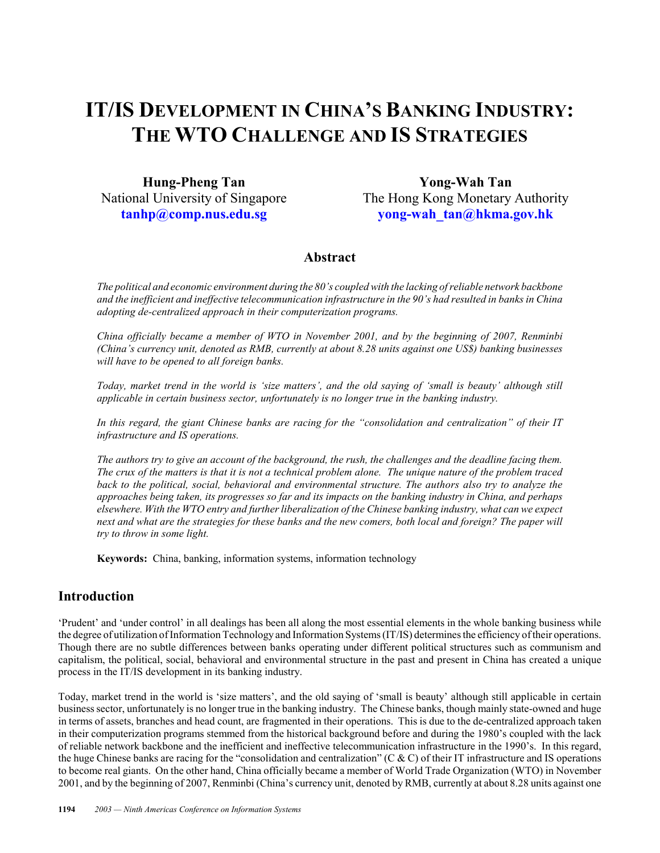## **IT/IS DEVELOPMENT IN CHINA'S BANKING INDUSTRY: THE WTO CHALLENGE AND IS STRATEGIES**

**Hung-Pheng Tan** National University of Singapore **[tanhp@comp.nus.edu.sg](mailto:tanhp@comp.nus.edu.sg)**

**Yong-Wah Tan** The Hong Kong Monetary Authority **[yong-wah\\_tan@hkma.gov.hk](mailto:yong-wah_tan@hkma.gov.hk)**

### **Abstract**

*The political and economic environment during the 80's coupled with the lacking of reliable network backbone and the inefficient and ineffective telecommunication infrastructure in the 90's had resulted in banks in China adopting de-centralized approach in their computerization programs.*

*China officially became a member of WTO in November 2001, and by the beginning of 2007, Renminbi (China's currency unit, denoted as RMB, currently at about 8.28 units against one US\$) banking businesses will have to be opened to all foreign banks.*

*Today, market trend in the world is 'size matters', and the old saying of 'small is beauty' although still applicable in certain business sector, unfortunately is no longer true in the banking industry.* 

*In this regard, the giant Chinese banks are racing for the "consolidation and centralization" of their IT infrastructure and IS operations.*

*The authors try to give an account of the background, the rush, the challenges and the deadline facing them. The crux of the matters is that it is not a technical problem alone. The unique nature of the problem traced back to the political, social, behavioral and environmental structure. The authors also try to analyze the approaches being taken, its progresses so far and its impacts on the banking industry in China, and perhaps elsewhere. With the WTO entry and further liberalization of the Chinese banking industry, what can we expect next and what are the strategies for these banks and the new comers, both local and foreign? The paper will try to throw in some light.*

**Keywords:** China, banking, information systems, information technology

#### **Introduction**

'Prudent' and 'under control' in all dealings has been all along the most essential elements in the whole banking business while the degree of utilization of Information Technology and Information Systems (IT/IS) determines the efficiency of their operations. Though there are no subtle differences between banks operating under different political structures such as communism and capitalism, the political, social, behavioral and environmental structure in the past and present in China has created a unique process in the IT/IS development in its banking industry.

Today, market trend in the world is 'size matters', and the old saying of 'small is beauty' although still applicable in certain business sector, unfortunately is no longer true in the banking industry. The Chinese banks, though mainly state-owned and huge in terms of assets, branches and head count, are fragmented in their operations. This is due to the de-centralized approach taken in their computerization programs stemmed from the historical background before and during the 1980's coupled with the lack of reliable network backbone and the inefficient and ineffective telecommunication infrastructure in the 1990's. In this regard, the huge Chinese banks are racing for the "consolidation and centralization" (C & C) of their IT infrastructure and IS operations to become real giants. On the other hand, China officially became a member of World Trade Organization (WTO) in November 2001, and by the beginning of 2007, Renminbi (China's currency unit, denoted by RMB, currently at about 8.28 units against one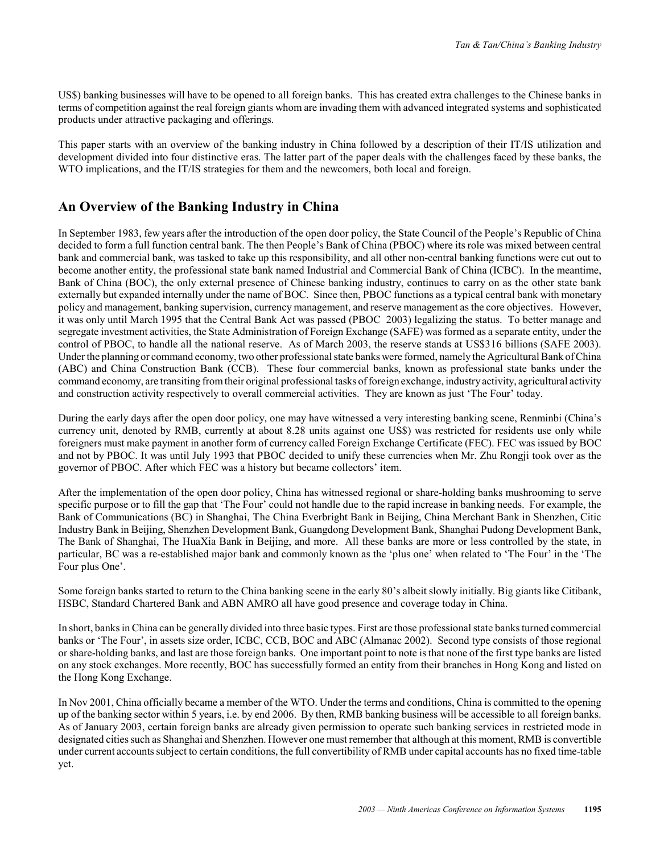US\$) banking businesses will have to be opened to all foreign banks. This has created extra challenges to the Chinese banks in terms of competition against the real foreign giants whom are invading them with advanced integrated systems and sophisticated products under attractive packaging and offerings.

This paper starts with an overview of the banking industry in China followed by a description of their IT/IS utilization and development divided into four distinctive eras. The latter part of the paper deals with the challenges faced by these banks, the WTO implications, and the IT/IS strategies for them and the newcomers, both local and foreign.

## **An Overview of the Banking Industry in China**

In September 1983, few years after the introduction of the open door policy, the State Council of the People's Republic of China decided to form a full function central bank. The then People's Bank of China (PBOC) where its role was mixed between central bank and commercial bank, was tasked to take up this responsibility, and all other non-central banking functions were cut out to become another entity, the professional state bank named Industrial and Commercial Bank of China (ICBC). In the meantime, Bank of China (BOC), the only external presence of Chinese banking industry, continues to carry on as the other state bank externally but expanded internally under the name of BOC. Since then, PBOC functions as a typical central bank with monetary policy and management, banking supervision, currency management, and reserve management as the core objectives. However, it was only until March 1995 that the Central Bank Act was passed (PBOC 2003) legalizing the status. To better manage and segregate investment activities, the State Administration of Foreign Exchange (SAFE) was formed as a separate entity, under the control of PBOC, to handle all the national reserve. As of March 2003, the reserve stands at US\$316 billions (SAFE 2003). Under the planning or command economy, two other professional state banks were formed, namely the Agricultural Bank of China (ABC) and China Construction Bank (CCB). These four commercial banks, known as professional state banks under the command economy, are transiting from their original professional tasks of foreign exchange, industry activity, agricultural activity and construction activity respectively to overall commercial activities. They are known as just 'The Four' today.

During the early days after the open door policy, one may have witnessed a very interesting banking scene, Renminbi (China's currency unit, denoted by RMB, currently at about 8.28 units against one US\$) was restricted for residents use only while foreigners must make payment in another form of currency called Foreign Exchange Certificate (FEC). FEC was issued by BOC and not by PBOC. It was until July 1993 that PBOC decided to unify these currencies when Mr. Zhu Rongji took over as the governor of PBOC. After which FEC was a history but became collectors' item.

After the implementation of the open door policy, China has witnessed regional or share-holding banks mushrooming to serve specific purpose or to fill the gap that 'The Four' could not handle due to the rapid increase in banking needs. For example, the Bank of Communications (BC) in Shanghai, The China Everbright Bank in Beijing, China Merchant Bank in Shenzhen, Citic Industry Bank in Beijing, Shenzhen Development Bank, Guangdong Development Bank, Shanghai Pudong Development Bank, The Bank of Shanghai, The HuaXia Bank in Beijing, and more. All these banks are more or less controlled by the state, in particular, BC was a re-established major bank and commonly known as the 'plus one' when related to 'The Four' in the 'The Four plus One'.

Some foreign banks started to return to the China banking scene in the early 80's albeit slowly initially. Big giants like Citibank, HSBC, Standard Chartered Bank and ABN AMRO all have good presence and coverage today in China.

In short, banks in China can be generally divided into three basic types. First are those professional state banks turned commercial banks or 'The Four', in assets size order, ICBC, CCB, BOC and ABC (Almanac 2002). Second type consists of those regional or share-holding banks, and last are those foreign banks. One important point to note is that none of the first type banks are listed on any stock exchanges. More recently, BOC has successfully formed an entity from their branches in Hong Kong and listed on the Hong Kong Exchange.

In Nov 2001, China officially became a member of the WTO. Under the terms and conditions, China is committed to the opening up of the banking sector within 5 years, i.e. by end 2006. By then, RMB banking business will be accessible to all foreign banks. As of January 2003, certain foreign banks are already given permission to operate such banking services in restricted mode in designated cities such as Shanghai and Shenzhen. However one must remember that although at this moment, RMB is convertible under current accounts subject to certain conditions, the full convertibility of RMB under capital accounts has no fixed time-table yet.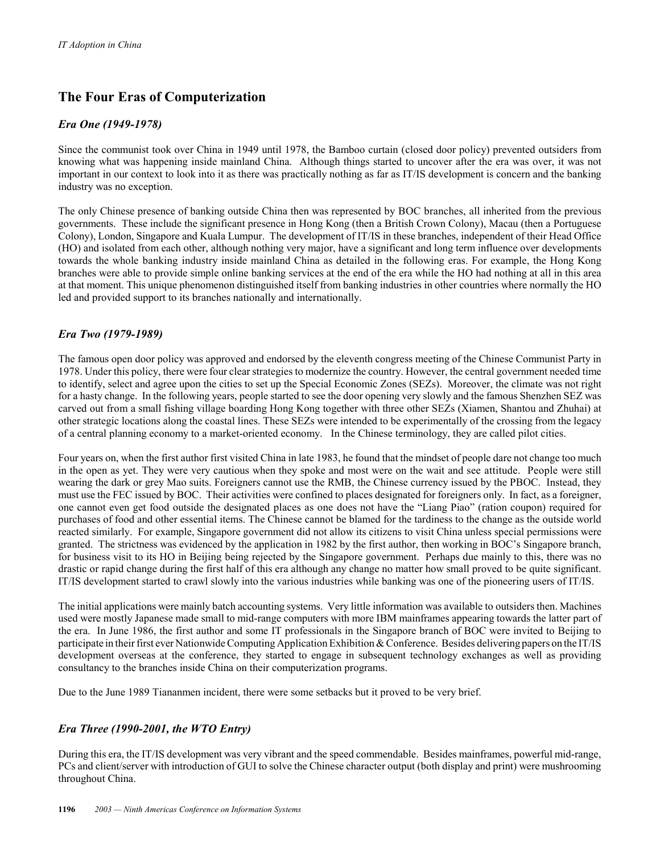## **The Four Eras of Computerization**

#### *Era One (1949-1978)*

Since the communist took over China in 1949 until 1978, the Bamboo curtain (closed door policy) prevented outsiders from knowing what was happening inside mainland China. Although things started to uncover after the era was over, it was not important in our context to look into it as there was practically nothing as far as IT/IS development is concern and the banking industry was no exception.

The only Chinese presence of banking outside China then was represented by BOC branches, all inherited from the previous governments. These include the significant presence in Hong Kong (then a British Crown Colony), Macau (then a Portuguese Colony), London, Singapore and Kuala Lumpur. The development of IT/IS in these branches, independent of their Head Office (HO) and isolated from each other, although nothing very major, have a significant and long term influence over developments towards the whole banking industry inside mainland China as detailed in the following eras. For example, the Hong Kong branches were able to provide simple online banking services at the end of the era while the HO had nothing at all in this area at that moment. This unique phenomenon distinguished itself from banking industries in other countries where normally the HO led and provided support to its branches nationally and internationally.

#### *Era Two (1979-1989)*

The famous open door policy was approved and endorsed by the eleventh congress meeting of the Chinese Communist Party in 1978. Under this policy, there were four clear strategies to modernize the country. However, the central government needed time to identify, select and agree upon the cities to set up the Special Economic Zones (SEZs). Moreover, the climate was not right for a hasty change. In the following years, people started to see the door opening very slowly and the famous Shenzhen SEZ was carved out from a small fishing village boarding Hong Kong together with three other SEZs (Xiamen, Shantou and Zhuhai) at other strategic locations along the coastal lines. These SEZs were intended to be experimentally of the crossing from the legacy of a central planning economy to a market-oriented economy. In the Chinese terminology, they are called pilot cities.

Four years on, when the first author first visited China in late 1983, he found that the mindset of people dare not change too much in the open as yet. They were very cautious when they spoke and most were on the wait and see attitude. People were still wearing the dark or grey Mao suits. Foreigners cannot use the RMB, the Chinese currency issued by the PBOC. Instead, they must use the FEC issued by BOC. Their activities were confined to places designated for foreigners only. In fact, as a foreigner, one cannot even get food outside the designated places as one does not have the "Liang Piao" (ration coupon) required for purchases of food and other essential items. The Chinese cannot be blamed for the tardiness to the change as the outside world reacted similarly. For example, Singapore government did not allow its citizens to visit China unless special permissions were granted. The strictness was evidenced by the application in 1982 by the first author, then working in BOC's Singapore branch, for business visit to its HO in Beijing being rejected by the Singapore government. Perhaps due mainly to this, there was no drastic or rapid change during the first half of this era although any change no matter how small proved to be quite significant. IT/IS development started to crawl slowly into the various industries while banking was one of the pioneering users of IT/IS.

The initial applications were mainly batch accounting systems. Very little information was available to outsiders then. Machines used were mostly Japanese made small to mid-range computers with more IBM mainframes appearing towards the latter part of the era. In June 1986, the first author and some IT professionals in the Singapore branch of BOC were invited to Beijing to participate in their first ever Nationwide Computing Application Exhibition & Conference. Besides delivering papers on the IT/IS development overseas at the conference, they started to engage in subsequent technology exchanges as well as providing consultancy to the branches inside China on their computerization programs.

Due to the June 1989 Tiananmen incident, there were some setbacks but it proved to be very brief.

#### *Era Three (1990-2001, the WTO Entry)*

During this era, the IT/IS development was very vibrant and the speed commendable. Besides mainframes, powerful mid-range, PCs and client/server with introduction of GUI to solve the Chinese character output (both display and print) were mushrooming throughout China.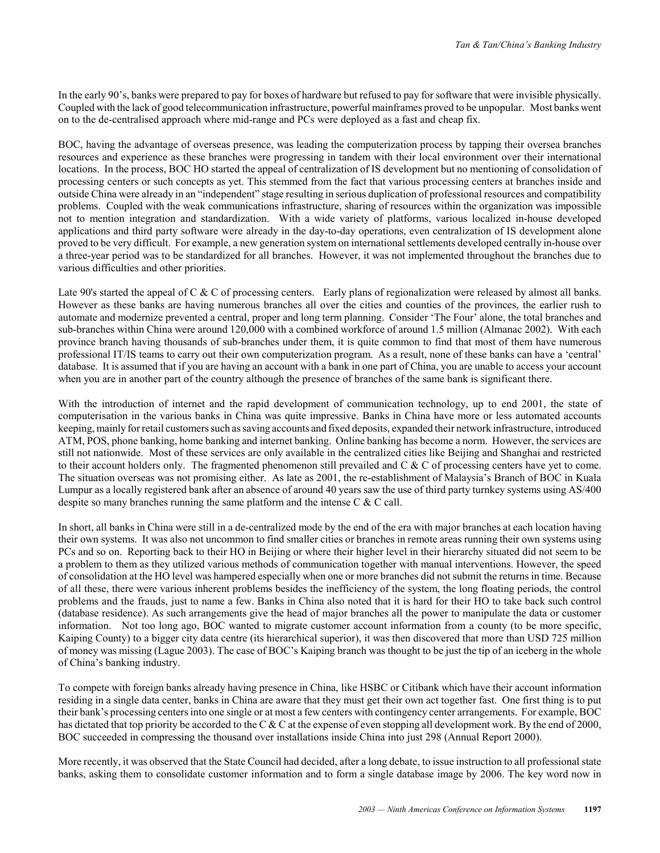In the early 90's, banks were prepared to pay for boxes of hardware but refused to pay for software that were invisible physically. Coupled with the lack of good telecommunication infrastructure, powerful mainframes proved to be unpopular. Most banks went on to the de-centralised approach where mid-range and PCs were deployed as a fast and cheap fix.

BOC, having the advantage of overseas presence, was leading the computerization process by tapping their oversea branches resources and experience as these branches were progressing in tandem with their local environment over their international locations. In the process, BOC HO started the appeal of centralization of IS development but no mentioning of consolidation of processing centers or such concepts as yet. This stemmed from the fact that various processing centers at branches inside and outside China were already in an "independent" stage resulting in serious duplication of professional resources and compatibility problems. Coupled with the weak communications infrastructure, sharing of resources within the organization was impossible not to mention integration and standardization. With a wide variety of platforms, various localized in-house developed applications and third party software were already in the day-to-day operations, even centralization of IS development alone proved to be very difficult. For example, a new generation system on international settlements developed centrally in-house over a three-year period was to be standardized for all branches. However, it was not implemented throughout the branches due to various difficulties and other priorities.

Late 90's started the appeal of C & C of processing centers. Early plans of regionalization were released by almost all banks. However as these banks are having numerous branches all over the cities and counties of the provinces, the earlier rush to automate and modernize prevented a central, proper and long term planning. Consider 'The Four' alone, the total branches and sub-branches within China were around 120,000 with a combined workforce of around 1.5 million (Almanac 2002). With each province branch having thousands of sub-branches under them, it is quite common to find that most of them have numerous professional IT/IS teams to carry out their own computerization program. As a result, none of these banks can have a 'central' database. It is assumed that if you are having an account with a bank in one part of China, you are unable to access your account when you are in another part of the country although the presence of branches of the same bank is significant there.

With the introduction of internet and the rapid development of communication technology, up to end 2001, the state of computerisation in the various banks in China was quite impressive. Banks in China have more or less automated accounts keeping, mainly for retail customers such as saving accounts and fixed deposits, expanded their network infrastructure, introduced ATM, POS, phone banking, home banking and internet banking. Online banking has become a norm. However, the services are still not nationwide. Most of these services are only available in the centralized cities like Beijing and Shanghai and restricted to their account holders only. The fragmented phenomenon still prevailed and  $C \& C$  of processing centers have yet to come. The situation overseas was not promising either. As late as 2001, the re-establishment of Malaysia's Branch of BOC in Kuala Lumpur as a locally registered bank after an absence of around 40 years saw the use of third party turnkey systems using AS/400 despite so many branches running the same platform and the intense C & C call.

In short, all banks in China were still in a de-centralized mode by the end of the era with major branches at each location having their own systems. It was also not uncommon to find smaller cities or branches in remote areas running their own systems using PCs and so on. Reporting back to their HO in Beijing or where their higher level in their hierarchy situated did not seem to be a problem to them as they utilized various methods of communication together with manual interventions. However, the speed of consolidation at the HO level was hampered especially when one or more branches did not submit the returns in time. Because of all these, there were various inherent problems besides the inefficiency of the system, the long floating periods, the control problems and the frauds, just to name a few. Banks in China also noted that it is hard for their HO to take back such control (database residence). As such arrangements give the head of major branches all the power to manipulate the data or customer information. Not too long ago, BOC wanted to migrate customer account information from a county (to be more specific, Kaiping County) to a bigger city data centre (its hierarchical superior), it was then discovered that more than USD 725 million of money was missing (Lague 2003). The case of BOC's Kaiping branch was thought to be just the tip of an iceberg in the whole of China's banking industry.

To compete with foreign banks already having presence in China, like HSBC or Citibank which have their account information residing in a single data center, banks in China are aware that they must get their own act together fast. One first thing is to put their bank's processing centers into one single or at most a few centers with contingency center arrangements. For example, BOC has dictated that top priority be accorded to the C & C at the expense of even stopping all development work. By the end of 2000, BOC succeeded in compressing the thousand over installations inside China into just 298 (Annual Report 2000).

More recently, it was observed that the State Council had decided, after a long debate, to issue instruction to all professional state banks, asking them to consolidate customer information and to form a single database image by 2006. The key word now in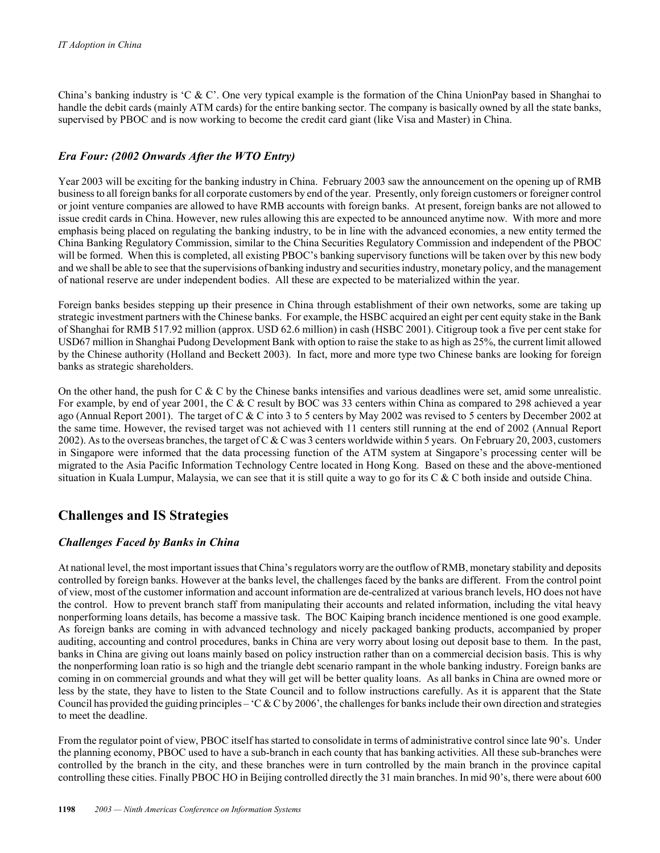China's banking industry is 'C & C'. One very typical example is the formation of the China UnionPay based in Shanghai to handle the debit cards (mainly ATM cards) for the entire banking sector. The company is basically owned by all the state banks, supervised by PBOC and is now working to become the credit card giant (like Visa and Master) in China.

#### *Era Four: (2002 Onwards After the WTO Entry)*

Year 2003 will be exciting for the banking industry in China. February 2003 saw the announcement on the opening up of RMB business to all foreign banks for all corporate customers by end of the year. Presently, only foreign customers or foreigner control or joint venture companies are allowed to have RMB accounts with foreign banks. At present, foreign banks are not allowed to issue credit cards in China. However, new rules allowing this are expected to be announced anytime now. With more and more emphasis being placed on regulating the banking industry, to be in line with the advanced economies, a new entity termed the China Banking Regulatory Commission, similar to the China Securities Regulatory Commission and independent of the PBOC will be formed. When this is completed, all existing PBOC's banking supervisory functions will be taken over by this new body and we shall be able to see that the supervisions of banking industry and securities industry, monetary policy, and the management of national reserve are under independent bodies. All these are expected to be materialized within the year.

Foreign banks besides stepping up their presence in China through establishment of their own networks, some are taking up strategic investment partners with the Chinese banks. For example, the HSBC acquired an eight per cent equity stake in the Bank of Shanghai for RMB 517.92 million (approx. USD 62.6 million) in cash (HSBC 2001). Citigroup took a five per cent stake for USD67 million in Shanghai Pudong Development Bank with option to raise the stake to as high as 25%, the current limit allowed by the Chinese authority (Holland and Beckett 2003). In fact, more and more type two Chinese banks are looking for foreign banks as strategic shareholders.

On the other hand, the push for C  $\&$  C by the Chinese banks intensifies and various deadlines were set, amid some unrealistic. For example, by end of year 2001, the C & C result by BOC was 33 centers within China as compared to 298 achieved a year ago (Annual Report 2001). The target of C & C into 3 to 5 centers by May 2002 was revised to 5 centers by December 2002 at the same time. However, the revised target was not achieved with 11 centers still running at the end of 2002 (Annual Report 2002). As to the overseas branches, the target of C & C was 3 centers worldwide within 5 years. On February 20, 2003, customers in Singapore were informed that the data processing function of the ATM system at Singapore's processing center will be migrated to the Asia Pacific Information Technology Centre located in Hong Kong. Based on these and the above-mentioned situation in Kuala Lumpur, Malaysia, we can see that it is still quite a way to go for its  $C & C$  both inside and outside China.

## **Challenges and IS Strategies**

#### *Challenges Faced by Banks in China*

At national level, the most important issues that China's regulators worry are the outflow of RMB, monetary stability and deposits controlled by foreign banks. However at the banks level, the challenges faced by the banks are different. From the control point of view, most of the customer information and account information are de-centralized at various branch levels, HO does not have the control. How to prevent branch staff from manipulating their accounts and related information, including the vital heavy nonperforming loans details, has become a massive task. The BOC Kaiping branch incidence mentioned is one good example. As foreign banks are coming in with advanced technology and nicely packaged banking products, accompanied by proper auditing, accounting and control procedures, banks in China are very worry about losing out deposit base to them. In the past, banks in China are giving out loans mainly based on policy instruction rather than on a commercial decision basis. This is why the nonperforming loan ratio is so high and the triangle debt scenario rampant in the whole banking industry. Foreign banks are coming in on commercial grounds and what they will get will be better quality loans. As all banks in China are owned more or less by the state, they have to listen to the State Council and to follow instructions carefully. As it is apparent that the State Council has provided the guiding principles –  $C & C$  by 2006', the challenges for banks include their own direction and strategies to meet the deadline.

From the regulator point of view, PBOC itself has started to consolidate in terms of administrative control since late 90's. Under the planning economy, PBOC used to have a sub-branch in each county that has banking activities. All these sub-branches were controlled by the branch in the city, and these branches were in turn controlled by the main branch in the province capital controlling these cities. Finally PBOC HO in Beijing controlled directly the 31 main branches. In mid 90's, there were about 600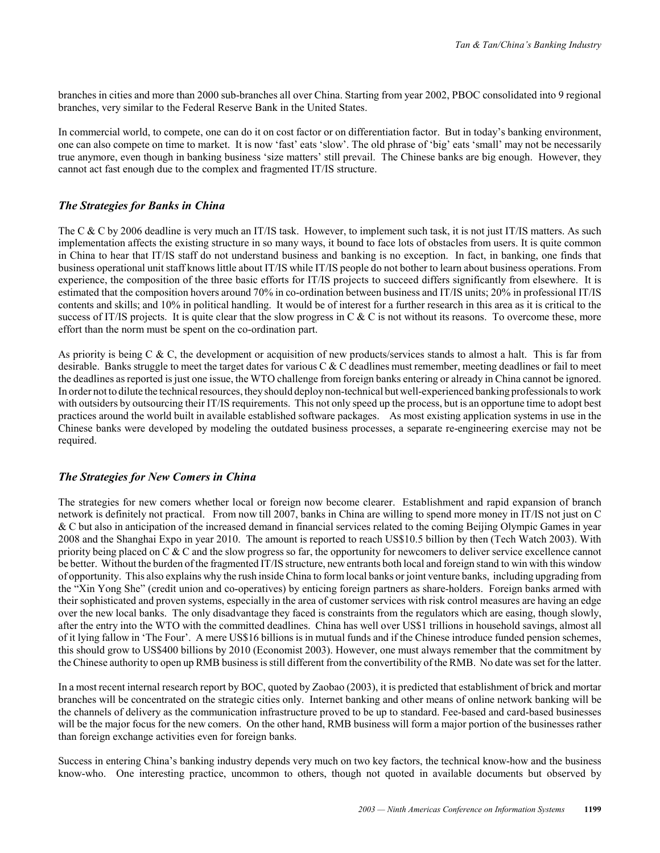branches in cities and more than 2000 sub-branches all over China. Starting from year 2002, PBOC consolidated into 9 regional branches, very similar to the Federal Reserve Bank in the United States.

In commercial world, to compete, one can do it on cost factor or on differentiation factor. But in today's banking environment, one can also compete on time to market. It is now 'fast' eats 'slow'. The old phrase of 'big' eats 'small' may not be necessarily true anymore, even though in banking business 'size matters' still prevail. The Chinese banks are big enough. However, they cannot act fast enough due to the complex and fragmented IT/IS structure.

#### *The Strategies for Banks in China*

The C & C by 2006 deadline is very much an IT/IS task. However, to implement such task, it is not just IT/IS matters. As such implementation affects the existing structure in so many ways, it bound to face lots of obstacles from users. It is quite common in China to hear that IT/IS staff do not understand business and banking is no exception. In fact, in banking, one finds that business operational unit staff knows little about IT/IS while IT/IS people do not bother to learn about business operations. From experience, the composition of the three basic efforts for IT/IS projects to succeed differs significantly from elsewhere. It is estimated that the composition hovers around 70% in co-ordination between business and IT/IS units; 20% in professional IT/IS contents and skills; and 10% in political handling. It would be of interest for a further research in this area as it is critical to the success of IT/IS projects. It is quite clear that the slow progress in C & C is not without its reasons. To overcome these, more effort than the norm must be spent on the co-ordination part.

As priority is being C & C, the development or acquisition of new products/services stands to almost a halt. This is far from desirable. Banks struggle to meet the target dates for various  $C & C$  deadlines must remember, meeting deadlines or fail to meet the deadlines as reported is just one issue, the WTO challenge from foreign banks entering or already in China cannot be ignored. In order not to dilute the technical resources, they should deploy non-technical but well-experienced banking professionals to work with outsiders by outsourcing their IT/IS requirements. This not only speed up the process, but is an opportune time to adopt best practices around the world built in available established software packages. As most existing application systems in use in the Chinese banks were developed by modeling the outdated business processes, a separate re-engineering exercise may not be required.

#### *The Strategies for New Comers in China*

The strategies for new comers whether local or foreign now become clearer. Establishment and rapid expansion of branch network is definitely not practical. From now till 2007, banks in China are willing to spend more money in IT/IS not just on C & C but also in anticipation of the increased demand in financial services related to the coming Beijing Olympic Games in year 2008 and the Shanghai Expo in year 2010. The amount is reported to reach US\$10.5 billion by then (Tech Watch 2003). With priority being placed on C & C and the slow progress so far, the opportunity for newcomers to deliver service excellence cannot be better. Without the burden of the fragmented IT/IS structure, new entrants both local and foreign stand to win with this window of opportunity. This also explains why the rush inside China to form local banks or joint venture banks, including upgrading from the "Xin Yong She" (credit union and co-operatives) by enticing foreign partners as share-holders. Foreign banks armed with their sophisticated and proven systems, especially in the area of customer services with risk control measures are having an edge over the new local banks. The only disadvantage they faced is constraints from the regulators which are easing, though slowly, after the entry into the WTO with the committed deadlines. China has well over US\$1 trillions in household savings, almost all of it lying fallow in 'The Four'. A mere US\$16 billions is in mutual funds and if the Chinese introduce funded pension schemes, this should grow to US\$400 billions by 2010 (Economist 2003). However, one must always remember that the commitment by the Chinese authority to open up RMB business is still different from the convertibility of the RMB. No date was set for the latter.

In a most recent internal research report by BOC, quoted by Zaobao (2003), it is predicted that establishment of brick and mortar branches will be concentrated on the strategic cities only. Internet banking and other means of online network banking will be the channels of delivery as the communication infrastructure proved to be up to standard. Fee-based and card-based businesses will be the major focus for the new comers. On the other hand, RMB business will form a major portion of the businesses rather than foreign exchange activities even for foreign banks.

Success in entering China's banking industry depends very much on two key factors, the technical know-how and the business know-who. One interesting practice, uncommon to others, though not quoted in available documents but observed by